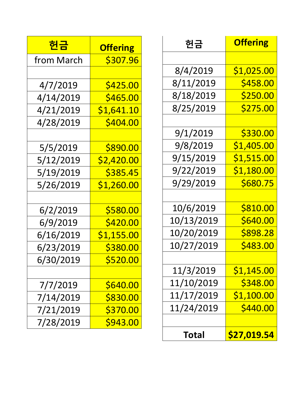| <u> 헌금</u> | <b>Offering</b> |
|------------|-----------------|
| from March | \$307.96        |
|            |                 |
| 4/7/2019   | \$425.00        |
| 4/14/2019  | \$465.00        |
| 4/21/2019  | \$1,641.10      |
| 4/28/2019  | \$404.00        |
|            |                 |
| 5/5/2019   | \$890.00        |
| 5/12/2019  | \$2,420.00      |
| 5/19/2019  | \$385.45        |
| 5/26/2019  | \$1,260.00      |
|            |                 |
| 6/2/2019   | \$580.00        |
| 6/9/2019   | \$420.00        |
| 6/16/2019  | \$1,155.00      |
| 6/23/2019  | \$380.00        |
| 6/30/2019  | <u>\$520.00</u> |
|            |                 |
| 7/7/2019   | <b>\$640.00</b> |
| 7/14/2019  | \$830.00        |
| 7/21/2019  | <b>\$370.00</b> |
| 7/28/2019  | \$943.00        |

| 헌금         | <b>Offering</b>   |
|------------|-------------------|
|            |                   |
| 8/4/2019   | \$1,025.00        |
| 8/11/2019  | \$458.00          |
| 8/18/2019  | \$250.00          |
| 8/25/2019  | \$275.00          |
|            |                   |
| 9/1/2019   | \$330.00          |
| 9/8/2019   | \$1,405.00        |
| 9/15/2019  | \$1,515.00        |
| 9/22/2019  | \$1,180.00        |
| 9/29/2019  | \$680.75          |
|            |                   |
| 10/6/2019  | \$810.00          |
| 10/13/2019 | \$640.00          |
| 10/20/2019 | \$898.28          |
| 10/27/2019 | \$483.00          |
|            |                   |
| 11/3/2019  | <u>\$1,145.00</u> |
| 11/10/2019 | \$348.00          |
| 11/17/2019 | <u>\$1,100.00</u> |
| 11/24/2019 | \$440.00          |
|            |                   |
| Total      | \$27,019.54       |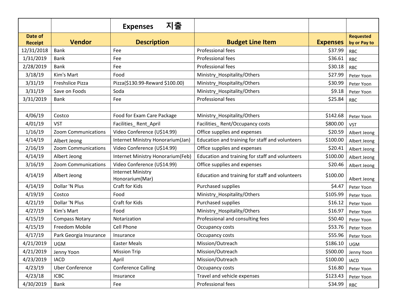|                           |                            | 지출<br><b>Expenses</b>                       |                                                 |                 |                                  |
|---------------------------|----------------------------|---------------------------------------------|-------------------------------------------------|-----------------|----------------------------------|
| Date of<br><b>Receipt</b> | <b>Vendor</b>              | <b>Description</b>                          | <b>Budget Line Item</b>                         | <b>Expenses</b> | <b>Requested</b><br>by or Pay to |
| 12/31/2018                | Bank                       | Fee                                         | Professional fees                               | \$37.99         | <b>RBC</b>                       |
| 1/31/2019                 | <b>Bank</b>                | Fee                                         | Professional fees                               | \$36.61         | <b>RBC</b>                       |
| 2/28/2019                 | <b>Bank</b>                | Fee                                         | Professional fees                               | \$30.18         | <b>RBC</b>                       |
| 3/18/19                   | Kim's Mart                 | Food                                        | Ministry_Hospitality/Others                     | \$27.99         | Peter Yoon                       |
| 3/31/19                   | <b>Freshslice Pizza</b>    | Pizza(\$130.99-Reward \$100.00)             | Ministry Hospitality/Others                     | \$30.99         | Peter Yoon                       |
| 3/31/19                   | Save on Foods              | Soda                                        | Ministry_Hospitality/Others                     | \$9.18          | Peter Yoon                       |
| 3/31/2019                 | <b>Bank</b>                | Fee                                         | Professional fees                               | \$25.84         | <b>RBC</b>                       |
|                           |                            |                                             |                                                 |                 |                                  |
| 4/06/19                   | Costco                     | Food for Exam Care Package                  | Ministry_Hospitality/Others                     | \$142.68        | Peter Yoon                       |
| 4/01/19                   | <b>VST</b>                 | Facilities_Rent_April                       | Facilities_Rent/Occupancy costs                 | \$800.00        | <b>VST</b>                       |
| 1/16/19                   | <b>Zoom Communications</b> | Video Conference (U\$14.99)                 | Office supplies and expenses                    | \$20.59         | Albert Jeong                     |
| 4/14/19                   | Albert Jeong               | Internet Ministry Honorarium(Jan)           | Education and training for staff and volunteers | \$100.00        | Albert Jeong                     |
| 2/16/19                   | Zoom Communications        | Video Conference (U\$14.99)                 | Office supplies and expenses                    | \$20.41         | Albert Jeong                     |
| 4/14/19                   | Albert Jeong               | Internet Ministry Honorarium(Feb)           | Education and training for staff and volunteers | \$100.00        | Albert Jeong                     |
| 3/16/19                   | Zoom Communications        | Video Conference (U\$14.99)                 | Office supplies and expenses                    | \$20.46         | Albert Jeong                     |
| 4/14/19                   | Albert Jeong               | <b>Internet Ministry</b><br>Honorarium(Mar) | Education and training for staff and volunteers | \$100.00        | Albert Jeong                     |
| 4/14/19                   | Dollar 'N Plus             | Craft for Kids                              | Purchased supplies                              | \$4.47          | Peter Yoon                       |
| 4/19/19                   | Costco                     | Food                                        | Ministry_Hospitality/Others                     | \$105.99        | Peter Yoon                       |
| 4/21/19                   | Dollar 'N Plus             | Craft for Kids                              | Purchased supplies                              | \$16.12         | Peter Yoon                       |
| 4/27/19                   | Kim's Mart                 | Food                                        | Ministry_Hospitality/Others                     | \$16.97         | Peter Yoon                       |
| 4/15/19                   | <b>Compass Notary</b>      | Notarization                                | Professional and consulting fees                | \$50.40         | Peter Yoon                       |
| 4/15/19                   | Freedom Mobile             | Cell Phone                                  | Occupancy costs                                 | \$53.76         | Peter Yoon                       |
| 4/17/19                   | Park Georgia Insurance     | Insurance                                   | Occupancy costs                                 | \$55.96         | Peter Yoon                       |
| 4/21/2019                 | UGM                        | <b>Easter Meals</b>                         | Mission/Outreach                                | \$186.10        | UGM                              |
| 4/21/2019                 | Jenny Yoon                 | <b>Mission Trip</b>                         | Mission/Outreach                                | \$500.00        | Jenny Yoon                       |
| 4/23/2019                 | <b>IACD</b>                | April                                       | Mission/Outreach                                | \$100.00        | <b>IACD</b>                      |
| 4/23/19                   | <b>Uber Conference</b>     | <b>Conference Calling</b>                   | Occupancy costs                                 | \$16.80         | Peter Yoon                       |
| 4/23/18                   | <b>ICBC</b>                | Insurance                                   | Travel and vehicle expenses                     | \$123.43        | Peter Yoon                       |
| 4/30/2019                 | Bank                       | Fee                                         | Professional fees                               | \$34.99         | <b>RBC</b>                       |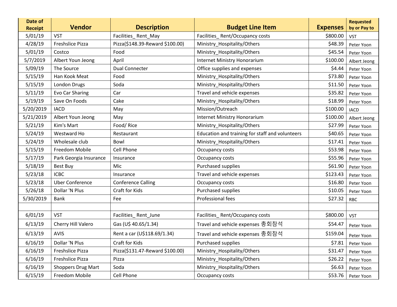| Date of<br><b>Receipt</b> | Vendor                    | <b>Description</b>              | <b>Budget Line Item</b>                         | <b>Expenses</b> | <b>Requested</b><br>by or Pay to |
|---------------------------|---------------------------|---------------------------------|-------------------------------------------------|-----------------|----------------------------------|
| 5/01/19                   | <b>VST</b>                | Facilities_Rent_May             | Facilities_Rent/Occupancy costs                 | \$800.00        | <b>VST</b>                       |
| 4/28/19                   | <b>Freshslice Pizza</b>   | Pizza(\$148.39-Reward \$100.00) | Ministry_Hospitality/Others                     | \$48.39         | Peter Yoon                       |
| 5/01/19                   | Costco                    | Food                            | Ministry_Hospitality/Others                     | \$45.54         | Peter Yoon                       |
| 5/7/2019                  | Albert Youn Jeong         | April                           | <b>Internet Ministry Honorarium</b>             | \$100.00        | Albert Jeong                     |
| 5/09/19                   | The Source                | <b>Dual Connecter</b>           | Office supplies and expenses                    | \$4.44          | Peter Yoon                       |
| 5/15/19                   | Han Kook Meat             | Food                            | Ministry Hospitality/Others                     | \$73.80         | Peter Yoon                       |
| 5/15/19                   | London Drugs              | Soda                            | Ministry_Hospitality/Others                     | \$11.50         | Peter Yoon                       |
| 5/11/19                   | Evo Car Sharing           | Car                             | Travel and vehicle expenses                     | \$35.82         | Peter Yoon                       |
| 5/19/19                   | Save On Foods             | Cake                            | Ministry_Hospitality/Others                     | \$18.99         | Peter Yoon                       |
| 5/20/2019                 | <b>IACD</b>               | May                             | Mission/Outreach                                | \$100.00        | <b>IACD</b>                      |
| 5/21/2019                 | Albert Youn Jeong         | May                             | <b>Internet Ministry Honorarium</b>             | \$100.00        | Albert Jeong                     |
| 5/21/19                   | Kim's Mart                | Food/Rice                       | Ministry Hospitality/Others                     | \$27.99         | Peter Yoon                       |
| 5/24/19                   | Westward Ho               | Restaurant                      | Education and training for staff and volunteers | \$40.65         | Peter Yoon                       |
| 5/24/19                   | Wholesale club            | Bowl                            | Ministry_Hospitality/Others                     | \$17.41         | Peter Yoon                       |
| 5/15/19                   | Freedom Mobile            | Cell Phone                      | Occupancy costs                                 | \$53.98         | Peter Yoon                       |
| 5/17/19                   | Park Georgia Insurance    | Insurance                       | Occupancy costs                                 | \$55.96         | Peter Yoon                       |
| 5/18/19                   | Best Buy                  | Mic                             | Purchased supplies                              | \$61.90         | Peter Yoon                       |
| 5/23/18                   | <b>ICBC</b>               | Insurance                       | Travel and vehicle expenses                     | \$123.43        | Peter Yoon                       |
| 5/23/18                   | <b>Uber Conference</b>    | <b>Conference Calling</b>       | Occupancy costs                                 | \$16.80         | Peter Yoon                       |
| 5/26/18                   | Dollar 'N Plus            | Craft for Kids                  | Purchased supplies                              | \$10.05         | Peter Yoon                       |
| 5/30/2019                 | <b>Bank</b>               | Fee                             | Professional fees                               | \$27.32         | <b>RBC</b>                       |
|                           |                           |                                 |                                                 |                 |                                  |
| 6/01/19                   | <b>VST</b>                | Facilities_Rent_June            | Facilities_Rent/Occupancy costs                 | \$800.00        | <b>VST</b>                       |
| 6/13/19                   | Cherry Hill Valero        | Gas (U\$ 40.65/1.34)            | Travel and vehicle expenses 총회참석                | \$54.47         | Peter Yoon                       |
| 6/13/19                   | <b>AVIS</b>               | Rent a car (U\$118.69/1.34)     | Travel and vehicle expenses 총회참석                | \$159.04        | Peter Yoon                       |
| 6/16/19                   | Dollar 'N Plus            | Craft for Kids                  | Purchased supplies                              | \$7.81          | Peter Yoon                       |
| 6/16/19                   | Freshslice Pizza          | Pizza(\$131.47-Reward \$100.00) | Ministry_Hospitality/Others                     | \$31.47         | Peter Yoon                       |
| 6/16/19                   | Freshslice Pizza          | Pizza                           | Ministry Hospitality/Others                     | \$26.22         | Peter Yoon                       |
| 6/16/19                   | <b>Shoppers Drug Mart</b> | Soda                            | Ministry Hospitality/Others                     | \$6.63          | Peter Yoon                       |
| 6/15/19                   | Freedom Mobile            | Cell Phone                      | Occupancy costs                                 | \$53.76         | Peter Yoon                       |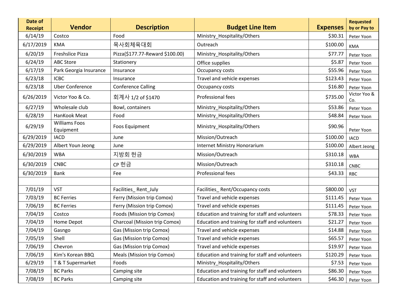| Date of<br><b>Receipt</b> | <b>Vendor</b>                     | <b>Description</b>              | <b>Budget Line Item</b>                         | <b>Expenses</b> | <b>Requested</b><br>by or Pay to |
|---------------------------|-----------------------------------|---------------------------------|-------------------------------------------------|-----------------|----------------------------------|
| 6/14/19                   | Costco                            | Food                            | Ministry Hospitality/Others                     | \$30.31         | Peter Yoon                       |
| 6/17/2019                 | <b>KMA</b>                        | 목사회체육대회                         | Outreach                                        | \$100.00        | <b>KMA</b>                       |
| 6/20/19                   | <b>Freshslice Pizza</b>           | Pizza(\$177.77-Reward \$100.00) | Ministry Hospitality/Others                     | \$77.77         | Peter Yoon                       |
| 6/24/19                   | <b>ABC Store</b>                  | Stationery                      | Office supplies                                 | \$5.87          | Peter Yoon                       |
| 6/17/19                   | Park Georgia Insurance            | Insurance                       | Occupancy costs                                 | \$55.96         | Peter Yoon                       |
| 6/23/18                   | <b>ICBC</b>                       | Insurance                       | Travel and vehicle expenses                     | \$123.43        | Peter Yoon                       |
| 6/23/18                   | <b>Uber Conference</b>            | <b>Conference Calling</b>       | Occupancy costs                                 | \$16.80         | Peter Yoon                       |
| 6/26/2019                 | Victor Yoo & Co.                  | 회계사 1/2 of \$1470               | Professional fees                               | \$735.00        | Victor Yoo &<br>Co.              |
| 6/27/19                   | Wholesale club                    | Bowl, containers                | Ministry_Hospitality/Others                     | \$53.86         | Peter Yoon                       |
| 6/28/19                   | HanKook Meat                      | Food                            | Ministry_Hospitality/Others                     | \$48.84         | Peter Yoon                       |
| 6/29/19                   | <b>Williams Foos</b><br>Equipment | <b>Foos Equipment</b>           | Ministry_Hospitality/Others                     | \$90.96         | Peter Yoon                       |
| 6/29/2019                 | <b>IACD</b>                       | June                            | Mission/Outreach                                | \$100.00        | <b>IACD</b>                      |
| 6/29/2019                 | Albert Youn Jeong                 | June                            | <b>Internet Ministry Honorarium</b>             | \$100.00        | Albert Jeong                     |
| 6/30/2019                 | <b>WBA</b>                        | 지방회 헌금                          | Mission/Outreach                                | \$310.18        | <b>WBA</b>                       |
| 6/30/2019                 | <b>CNBC</b>                       | CP 헌금                           | Mission/Outreach                                | \$310.18        | <b>CNBC</b>                      |
| 6/30/2019                 | <b>Bank</b>                       | Fee                             | Professional fees                               | \$43.33         | <b>RBC</b>                       |
|                           |                                   |                                 |                                                 |                 |                                  |
| 7/01/19                   | <b>VST</b>                        | Facilities_Rent_July            | Facilities_Rent/Occupancy costs                 | \$800.00        | <b>VST</b>                       |
| 7/03/19                   | <b>BC Ferries</b>                 | Ferry (Mission trip Comox)      | Travel and vehicle expenses                     | \$111.45        | Peter Yoon                       |
| 7/06/19                   | <b>BC Ferries</b>                 | Ferry (Mission trip Comox)      | Travel and vehicle expenses                     | \$111.45        | Peter Yoon                       |
| 7/04/19                   | Costco                            | Foods (Mission trip Comox)      | Education and training for staff and volunteers | \$78.33         | Peter Yoon                       |
| 7/04/19                   | Home Depot                        | Charcoal (Mission trip Comox)   | Education and training for staff and volunteers | \$21.27         | Peter Yoon                       |
| 7/04/19                   | Gasngo                            | Gas (Mission trip Comox)        | Travel and vehicle expenses                     | \$14.88         | Peter Yoon                       |
| 7/05/19                   | Shell                             | Gas (Mission trip Comox)        | Travel and vehicle expenses                     | \$65.57         | Peter Yoon                       |
| 7/06/19                   | Chevron                           | Gas (Mission trip Comox)        | Travel and vehicle expenses                     | \$19.97         | Peter Yoon                       |
| 7/06/19                   | Kim's Korean BBQ                  | Meals (Mission trip Comox)      | Education and training for staff and volunteers | \$120.29        | Peter Yoon                       |
| 6/29/19                   | T & T Supermarket                 | Foods                           | Ministry_Hospitality/Others                     | \$7.53          | Peter Yoon                       |
| 7/08/19                   | <b>BC Parks</b>                   | Camping site                    | Education and training for staff and volunteers | \$86.30         | Peter Yoon                       |
| 7/08/19                   | <b>BC Parks</b>                   | Camping site                    | Education and training for staff and volunteers | \$46.30         | Peter Yoon                       |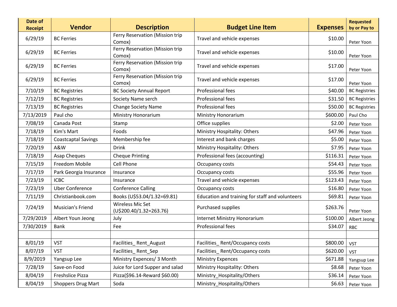| Date of<br><b>Receipt</b> | <b>Vendor</b>              | <b>Description</b>                          | <b>Budget Line Item</b>                         | <b>Expenses</b> | <b>Requested</b><br>by or Pay to |
|---------------------------|----------------------------|---------------------------------------------|-------------------------------------------------|-----------------|----------------------------------|
| 6/29/19                   | <b>BC Ferries</b>          | Ferry Reservation (Mission trip<br>Comox)   | Travel and vehicle expenses                     | \$10.00         | Peter Yoon                       |
| 6/29/19                   | <b>BC</b> Ferries          | Ferry Reservation (Mission trip<br>Comox)   | Travel and vehicle expenses                     | \$10.00         | Peter Yoon                       |
| 6/29/19                   | <b>BC Ferries</b>          | Ferry Reservation (Mission trip<br>Comox)   | Travel and vehicle expenses                     | \$17.00         | Peter Yoon                       |
| 6/29/19                   | <b>BC Ferries</b>          | Ferry Reservation (Mission trip<br>Comox)   | Travel and vehicle expenses                     | \$17.00         | Peter Yoon                       |
| 7/10/19                   | <b>BC Registries</b>       | <b>BC Society Annual Report</b>             | Professional fees                               | \$40.00         | <b>BC Registries</b>             |
| 7/12/19                   | <b>BC Registries</b>       | Society Name serch                          | Professional fees                               | \$31.50         | <b>BC Registries</b>             |
| 7/13/19                   | <b>BC Registries</b>       | <b>Change Society Name</b>                  | Professional fees                               | \$50.00         | <b>BC Registries</b>             |
| 7/13/2019                 | Paul cho                   | Ministry Honorarium                         | Ministry Honorarium                             | \$600.00        | Paul Cho                         |
| 7/08/19                   | Canada Post                | Stamp                                       | Office supplies                                 | \$2.00          | Peter Yoon                       |
| 7/18/19                   | Kim's Mart                 | Foods                                       | Ministry Hospitality: Others                    | \$47.96         | Peter Yoon                       |
| 7/18/19                   | <b>Coastcaptal Savings</b> | Membership fee                              | Interest and bank charges                       | \$5.00          | Peter Yoon                       |
| 7/20/19                   | A&W                        | <b>Drink</b>                                | Ministry Hospitality: Others                    | \$7.95          | Peter Yoon                       |
| 7/18/19                   | Asap Cheques               | <b>Cheque Printing</b>                      | Professional fees (accounting)                  | \$116.31        | Peter Yoon                       |
| 7/15/19                   | Freedom Mobile             | Cell Phone                                  | Occupancy costs                                 | \$54.43         | Peter Yoon                       |
| 7/17/19                   | Park Georgia Insurance     | Insurance                                   | Occupancy costs                                 | \$55.96         | Peter Yoon                       |
| 7/23/19                   | <b>ICBC</b>                | Insurance                                   | Travel and vehicle expenses                     | \$123.43        | Peter Yoon                       |
| 7/23/19                   | <b>Uber Conference</b>     | <b>Conference Calling</b>                   | Occupancy costs                                 | \$16.80         | Peter Yoon                       |
| 7/11/19                   | Christianbook.com          | Books (U\$53.04/1.32=69.81)                 | Education and training for staff and volunteers | \$69.81         | Peter Yoon                       |
| 7/24/19                   | Musician's Friend          | Wireless Mic Set<br>(U\$200.40/1.32=263.76) | Purchased supplies                              | \$263.76        | Peter Yoon                       |
| 7/29/2019                 | Albert Youn Jeong          | July                                        | <b>Internet Ministry Honorarium</b>             | \$100.00        | Albert Jeong                     |
| 7/30/2019                 | <b>Bank</b>                | Fee                                         | Professional fees                               | \$34.07         | <b>RBC</b>                       |
|                           |                            |                                             |                                                 |                 |                                  |
| 8/01/19                   | <b>VST</b>                 | Facilities_Rent_August                      | Facilities_Rent/Occupancy costs                 | \$800.00        | <b>VST</b>                       |
| 8/07/19                   | <b>VST</b>                 | Facilities_Rent_Sep                         | Facilities_Rent/Occupancy costs                 | \$620.00        | <b>VST</b>                       |
| 8/9/2019                  | Yangsup Lee                | Ministry Expences/ 3 Month                  | <b>Ministry Expences</b>                        | \$671.88        | Yangsup Lee                      |
| 7/28/19                   | Save-on Food               | Juice for Lord Supper and salad             | Ministry Hospitality: Others                    | \$8.68          | Peter Yoon                       |
| 8/04/19                   | Freshslice Pizza           | Pizza(\$96.14-Reward \$60.00)               | Ministry_Hospitality/Others                     | \$36.14         | Peter Yoon                       |
| 8/04/19                   | <b>Shoppers Drug Mart</b>  | Soda                                        | Ministry_Hospitality/Others                     | \$6.63          | Peter Yoon                       |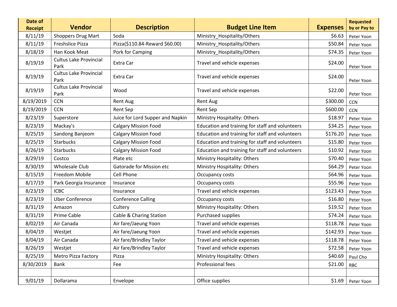| Date of<br><b>Receipt</b> | <b>Vendor</b>                         | <b>Description</b>               | <b>Budget Line Item</b>                         | <b>Expenses</b> | <b>Requested</b><br>by or Pay to |
|---------------------------|---------------------------------------|----------------------------------|-------------------------------------------------|-----------------|----------------------------------|
| 8/11/19                   | <b>Shoppers Drug Mart</b>             | Soda                             | Ministry_Hospitality/Others                     | \$6.63          | Peter Yoon                       |
| 8/11/19                   | <b>Freshslice Pizza</b>               | Pizza(\$110.84-Reward \$60.00)   | Ministry_Hospitality/Others                     | \$50.84         | Peter Yoon                       |
| 8/18/19                   | Han Kook Meat                         | Pork for Camping                 | Ministry_Hospitality/Others                     | \$74.35         | Peter Yoon                       |
| 8/19/19                   | <b>Cultus Lake Provincial</b><br>Park | Extra Car                        | Travel and vehicle expenses                     | \$24.00         | Peter Yoon                       |
| 8/19/19                   | <b>Cultus Lake Provincial</b><br>Park | Extra Car                        | Travel and vehicle expenses                     | \$24.00         | Peter Yoon                       |
| 8/19/19                   | <b>Cultus Lake Provincial</b><br>Park | Wood                             | Travel and vehicle expenses                     | \$22.00         | Peter Yoon                       |
| 8/19/2019                 | <b>CCN</b>                            | <b>Rent Aug</b>                  | Rent Aug                                        | \$300.00        | <b>CCN</b>                       |
| 8/19/2019                 | <b>CCN</b>                            | Rent Sep                         | <b>Rent Sep</b>                                 | \$600.00        | <b>CCN</b>                       |
| 8/23/19                   | Superstore                            | Juice for Lord Supper and Napkin | Ministry Hospitality: Others                    | \$18.97         | Peter Yoon                       |
| 8/23/19                   | Mackay's                              | <b>Calgary Mission Food</b>      | Education and training for staff and volunteers | \$34.25         | Peter Yoon                       |
| 8/25/19                   | Sandong Banjeom                       | <b>Calgary Mission Food</b>      | Education and training for staff and volunteers | \$176.20        | Peter Yoon                       |
| 8/25/19                   | <b>Starbucks</b>                      | <b>Calgary Mission Food</b>      | Education and training for staff and volunteers | \$15.80         | Peter Yoon                       |
| 8/26/19                   | Starbucks                             | <b>Calgary Mission Food</b>      | Education and training for staff and volunteers | \$10.92         | Peter Yoon                       |
| 8/29/19                   | Costco                                | Plate etc                        | Ministry Hospitality: Others                    | \$70.40         | Peter Yoon                       |
| 8/30/19                   | <b>Wholesale Club</b>                 | Gatorade for Mission etc         | Ministry Hospitality: Others                    | \$64.29         | Peter Yoon                       |
| 8/15/19                   | Freedom Mobile                        | Cell Phone                       | Occupancy costs                                 | \$64.96         | Peter Yoon                       |
| 8/17/19                   | Park Georgia Insurance                | Insurance                        | Occupancy costs                                 | \$55.96         | Peter Yoon                       |
| 8/23/19                   | <b>ICBC</b>                           | Insurance                        | Travel and vehicle expenses                     | \$123.43        | Peter Yoon                       |
| 8/23/19                   | <b>Uber Conference</b>                | <b>Conference Calling</b>        | Occupancy costs                                 | \$16.80         | Peter Yoon                       |
| 8/31/19                   | Amazon                                | Cultery                          | Ministry Hospitality: Others                    | \$19.52         | Peter Yoon                       |
| 8/31/19                   | Prime Cable                           | Cable & Charing Station          | Purchased supplies                              | \$74.24         | Peter Yoon                       |
| 8/02/19                   | Air Canada                            | Air fare/Jaeung Yoon             | Travel and vehicle expenses                     | \$118.78        | Peter Yoon                       |
| 8/04/19                   | Westjet                               | Air fare/Jaeung Yoon             | Travel and vehicle expenses                     | \$142.93        | Peter Yoon                       |
| 8/04/19                   | Air Canada                            | Air fare/Brindley Taylor         | Travel and vehicle expenses                     | \$118.78        | Peter Yoon                       |
| 8/26/19                   | Westjet                               | Air fare/Brindley Taylor         | Travel and vehicle expenses                     | \$72.58         | Peter Yoon                       |
| 8/25/19                   | <b>Metro Pizza Factory</b>            | Pizza                            | Ministry Hospitality: Others                    | \$40.69         | Paul Cho                         |
| 8/30/2019                 | Bank                                  | Fee                              | Professional fees                               | \$21.00         | <b>RBC</b>                       |
|                           |                                       |                                  |                                                 |                 |                                  |
| 9/01/19                   | Dollarama                             | Envelope                         | Office supplies                                 | \$1.69          | Peter Yoon                       |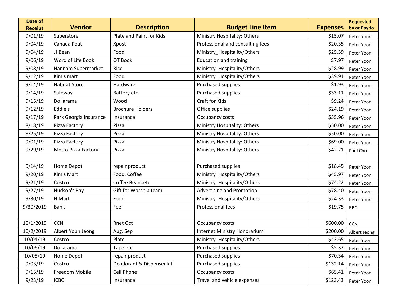| Date of<br><b>Receipt</b> | <b>Vendor</b>              | <b>Description</b>        | <b>Budget Line Item</b>             | <b>Expenses</b> | <b>Requested</b><br>by or Pay to |
|---------------------------|----------------------------|---------------------------|-------------------------------------|-----------------|----------------------------------|
| 9/01/19                   | Superstore                 | Plate and Paint for Kids  | Ministry Hospitality: Others        | \$15.07         | Peter Yoon                       |
| 9/04/19                   | Canada Poat                | Xpost                     | Professional and consulting fees    | \$20.35         | Peter Yoon                       |
| 9/04/19                   | JJ Bean                    | Food                      | Ministry_Hospitality/Others         | \$25.59         | Peter Yoon                       |
| 9/06/19                   | Word of Life Book          | QT Book                   | <b>Education and training</b>       | \$7.97          | Peter Yoon                       |
| 9/08/19                   | Hannam Supermarket         | Rice                      | Ministry_Hospitality/Others         | \$28.99         | Peter Yoon                       |
| 9/12/19                   | Kim's mart                 | Food                      | Ministry_Hospitality/Others         | \$39.91         | Peter Yoon                       |
| 9/14/19                   | <b>Habitat Store</b>       | Hardware                  | Purchased supplies                  | \$1.93          | Peter Yoon                       |
| 9/14/19                   | Safeway                    | Battery etc               | Purchased supplies                  | \$33.11         | Peter Yoon                       |
| 9/15/19                   | Dollarama                  | Wood                      | Craft for Kids                      | \$9.24          | Peter Yoon                       |
| 9/12/19                   | Eddie's                    | <b>Brochure Holders</b>   | Office supplies                     | \$24.19         | Peter Yoon                       |
| 9/17/19                   | Park Georgia Insurance     | Insurance                 | Occupancy costs                     | \$55.96         | Peter Yoon                       |
| 8/18/19                   | Pizza Factory              | Pizza                     | Ministry Hospitality: Others        | \$50.00         | Peter Yoon                       |
| 8/25/19                   | Pizza Factory              | Pizza                     | Ministry Hospitality: Others        | \$50.00         | Peter Yoon                       |
| 9/01/19                   | Pizza Factory              | Pizza                     | Ministry Hospitality: Others        | \$69.00         | Peter Yoon                       |
| 9/29/19                   | <b>Metro Pizza Factory</b> | Pizza                     | Ministry Hospitality: Others        | \$42.21         | Paul Cho                         |
|                           |                            |                           |                                     |                 |                                  |
| 9/14/19                   | Home Depot                 | repair product            | Purchased supplies                  | \$18.45         | Peter Yoon                       |
| 9/20/19                   | Kim's Mart                 | Food, Coffee              | Ministry_Hospitality/Others         | \$45.97         | Peter Yoon                       |
| 9/21/19                   | Costco                     | Coffee Beanetc            | Ministry_Hospitality/Others         | \$74.22         | Peter Yoon                       |
| 9/27/19                   | Hudson's Bay               | Gift for Worship team     | <b>Advertising and Promotion</b>    | \$78.40         | Peter Yoon                       |
| 9/30/19                   | H Mart                     | Food                      | Ministry_Hospitality/Others         | \$24.33         | Peter Yoon                       |
| 9/30/2019                 | <b>Bank</b>                | Fee                       | Professional fees                   | \$19.75         | <b>RBC</b>                       |
|                           |                            |                           |                                     |                 |                                  |
| 10/1/2019                 | <b>CCN</b>                 | Rnet Oct                  | Occupancy costs                     | \$600.00        | CCN                              |
| 10/2/2019                 | Albert Youn Jeong          | Aug. Sep                  | <b>Internet Ministry Honorarium</b> | \$200.00        | Albert Jeong                     |
| 10/04/19                  | Costco                     | Plate                     | Ministry_Hospitality/Others         | \$43.65         | Peter Yoon                       |
| 10/06/19                  | Dollarama                  | Tape etc                  | Purchased supplies                  | \$5.32          | Peter Yoon                       |
| 10/05/19                  | Home Depot                 | repair product            | Purchased supplies                  | \$70.34         | Peter Yoon                       |
| 9/03/19                   | Costco                     | Deodorant & Dispenser kit | Purchased supplies                  | \$132.14        | Peter Yoon                       |
| 9/15/19                   | Freedom Mobile             | Cell Phone                | Occupancy costs                     | \$65.41         | Peter Yoon                       |
| 9/23/19                   | <b>ICBC</b>                | Insurance                 | Travel and vehicle expenses         | \$123.43        | Peter Yoon                       |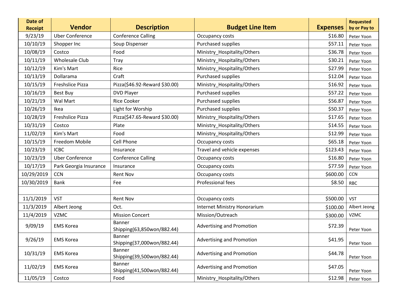| Date of<br><b>Receipt</b> | <b>Vendor</b>           | <b>Description</b>                          | <b>Budget Line Item</b>          | <b>Expenses</b> | <b>Requested</b><br>by or Pay to |
|---------------------------|-------------------------|---------------------------------------------|----------------------------------|-----------------|----------------------------------|
| 9/23/19                   | <b>Uber Conference</b>  | <b>Conference Calling</b>                   | Occupancy costs                  | \$16.80         | Peter Yoon                       |
| 10/10/19                  | Shopper Inc             | Soup Dispenser                              | Purchased supplies               | \$57.11         | Peter Yoon                       |
| 10/08/19                  | Costco                  | Food                                        | Ministry_Hospitality/Others      | \$36.78         | Peter Yoon                       |
| 10/11/19                  | Wholesale Club          | <b>Tray</b>                                 | Ministry_Hospitality/Others      | \$30.21         | Peter Yoon                       |
| 10/12/19                  | Kim's Mart              | Rice                                        | Ministry_Hospitality/Others      | \$27.99         | Peter Yoon                       |
| 10/13/19                  | Dollarama               | Craft                                       | Purchased supplies               | \$12.04         | Peter Yoon                       |
| 10/15/19                  | Freshslice Pizza        | Pizza(\$46.92-Reward \$30.00)               | Ministry_Hospitality/Others      | \$16.92         | Peter Yoon                       |
| 10/16/19                  | Best Buy                | <b>DVD Player</b>                           | Purchased supplies               | \$57.22         | Peter Yoon                       |
| 10/21/19                  | Wal Mart                | <b>Rice Cooker</b>                          | Purchased supplies               | \$56.87         | Peter Yoon                       |
| 10/26/19                  | Ikea                    | Light for Worship                           | Purchased supplies               | \$50.37         | Peter Yoon                       |
| 10/28/19                  | <b>Freshslice Pizza</b> | Pizza(\$47.65-Reward \$30.00)               | Ministry_Hospitality/Others      | \$17.65         | Peter Yoon                       |
| 10/31/19                  | Costco                  | Plate                                       | Ministry_Hospitality/Others      | \$14.55         | Peter Yoon                       |
| 11/02/19                  | Kim's Mart              | Food                                        | Ministry Hospitality/Others      | \$12.99         | Peter Yoon                       |
| 10/15/19                  | Freedom Mobile          | Cell Phone                                  | Occupancy costs                  | \$65.18         | Peter Yoon                       |
| 10/23/19                  | <b>ICBC</b>             | Insurance                                   | Travel and vehicle expenses      | \$123.43        | Peter Yoon                       |
| 10/23/19                  | <b>Uber Conference</b>  | <b>Conference Calling</b>                   | Occupancy costs                  | \$16.80         | Peter Yoon                       |
| 10/17/19                  | Park Georgia Insurance  | Insurance                                   | Occupancy costs                  | \$77.59         | Peter Yoon                       |
| 10/29/2019                | <b>CCN</b>              | <b>Rent Nov</b>                             | Occupancy costs                  | \$600.00        | CCN                              |
| 10/30/2019                | <b>Bank</b>             | Fee                                         | Professional fees                | \$8.50          | <b>RBC</b>                       |
|                           |                         |                                             |                                  |                 |                                  |
| 11/1/2019                 | <b>VST</b>              | <b>Rent Nov</b>                             | Occupancy costs                  | \$500.00        | <b>VST</b>                       |
| 11/3/2019                 | Albert Jeong            | Oct.                                        | Internet Ministry Honorarium     | \$100.00        | Albert Jeong                     |
| 11/4/2019                 | <b>VZMC</b>             | <b>Mission Concert</b>                      | Mission/Outreach                 | \$300.00        | <b>VZMC</b>                      |
| 9/09/19                   | <b>EMS Korea</b>        | <b>Banner</b><br>Shipping(63,850won/882.44) | Advertising and Promotion        | \$72.39         | Peter Yoon                       |
| 9/26/19                   | <b>EMS Korea</b>        | Banner<br>Shipping(37,000won/882.44)        | <b>Advertising and Promotion</b> | \$41.95         | Peter Yoon                       |
| 10/31/19                  | <b>EMS Korea</b>        | Banner<br>Shipping(39,500won/882.44)        | <b>Advertising and Promotion</b> | \$44.78         | Peter Yoon                       |
| 11/02/19                  | <b>EMS Korea</b>        | Banner<br>Shipping(41,500won/882.44)        | Advertising and Promotion        | \$47.05         | Peter Yoon                       |
| 11/05/19                  | Costco                  | Food                                        | Ministry_Hospitality/Others      | \$12.98         | Peter Yoon                       |